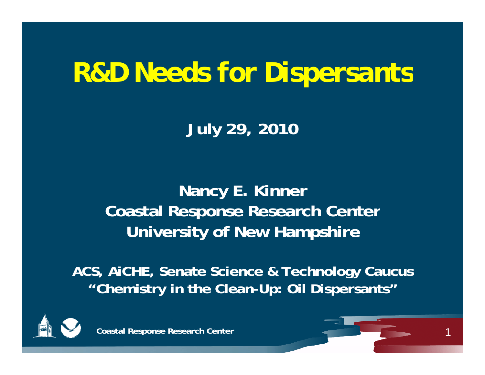# *R&D Needs for Dispersants*

**July 29, 2010**

**Nancy E. Kinner Coastal Response Research Center University of New Hampshire**

**ACS, AiCHE, Senate Science & Technology Caucus "Chemistry in the Clean-Up: Oil Dispersants"**



**Coastal Response Research Center**

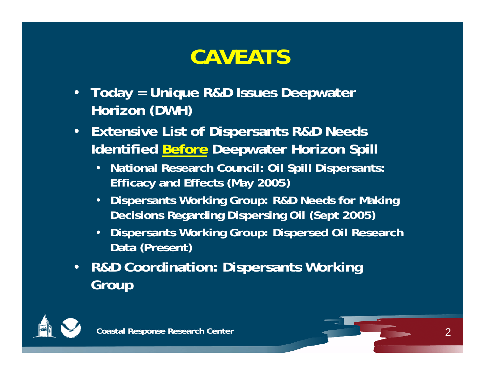#### **CAVEATS**

- **Today = Unique R&D Issues Deepwater Horizon (DWH)**
- **Extensive List of Dispersants R&D Needs Identified Before Deepwater Horizon Spill**
	- **N ti l R h C il Oil S ill Di t National Research Council: Spill Dispersants: Efficacy and Effects (May 2005)**
	- **Dispersants Working Group: R&D Needs for Making D i i R di Di i Oil (S t 2005) Decisions Regarding Dispersing (Sept 2005)**
	- **Dispersants Working Group: Dispersed Oil Research Data (Present)**
- **R&D Coordination: Dispersants Working Group**



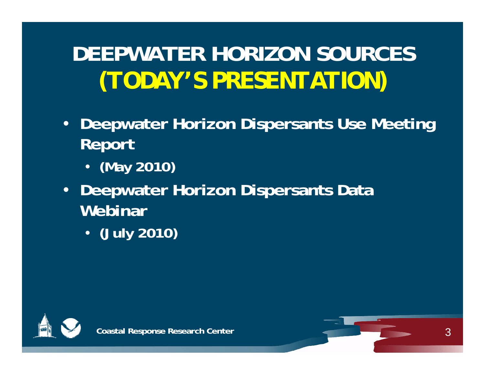# **DEEPWATER HORIZON SOURCES***(TODAY'S PRESENTATION)*

- **Deepwater Horizon Dispersants Use Meeting Report** 
	- **(May 2010)**
- **Deepwater Horizon Dispersants Data Webinar** 
	- **(July 2010)**



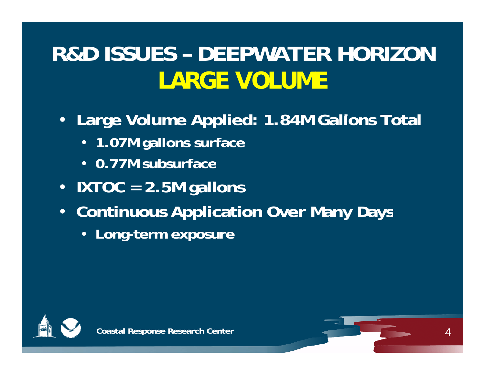# **R&D ISSUES – DEEPWATER HORIZON**  *LARGE VOLUME*

- **Large Volume Applied: 1 84M Gallons Total 1.84M Gallons** 
	- **1.07M gallons surface**
	- **0 77M subsurface 0.77M**
- **IXTOC = 2.5M gallons**
- **Continuous Application Over Many Days**
	- **Long-term exposure**



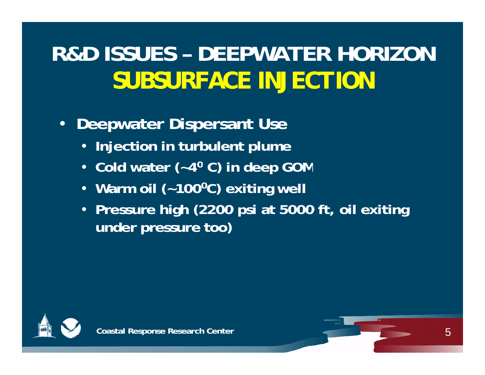## **R&D ISSUES – DEEPWATER HORIZON***SUBSURFACE INJECTION*

#### $\bullet$ **Deepwater Dispersant Use**

- **Injection in turbulent plume**
- Cold water (~4<sup>0</sup> C) in deep GOM
- **Warm oil (~1000C) exiting well**
- Pressure high (2200 psi at 5000 ft, oil exiting **under pressure too)**



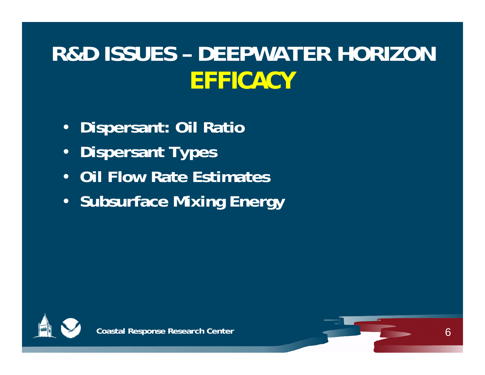# **R&D ISSUES – DEEPWATER HORIZON***EFFICACY*

- **Dispersant: Oil Ratio**
- •**Dispersant Types**
- **Oil Flow Rate Estimates**
- **Subsurface Mixing Energy**



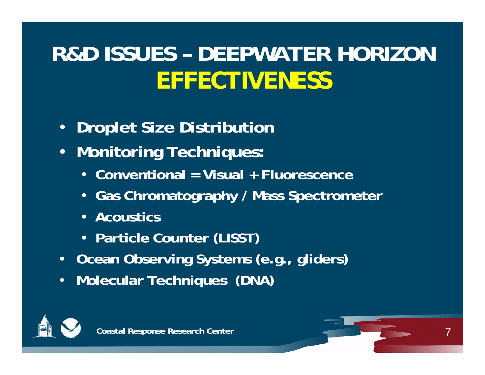# **R&D ISSUES – DEEPWATER HORIZON**  *EFFECTIVENESS*

- $\bullet$ **Droplet Size Distribution**
- **Monitoring Techniques:** 
	- **Conventional = Visual + Fluorescence**
	- **Gas Chromatography / Mass Spectrometer**
	- Acoustics
	- **Particle Counter (LISST)**
- Ocean Observing Systems (e.g., gliders)
- •**Molecular Techniques (DNA)**



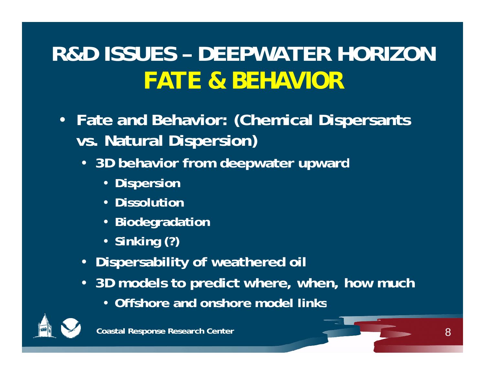# **R&D ISSUES – DEEPWATER HORIZON***FATE & BEHAVIOR*

- **Fate and Behavior: (Chemical Dispersants vs. Natural Dispersion)**
	- **3D behavior from deepwater upward**
		- **Dispersion**
		- **Dissolution**
		- **Biodegradation**
		- **Sinking (?)**
	- Dispersability of weathered oil
	- **3D models to predict where, when, how much**
		- **Offshore and onshore model links**

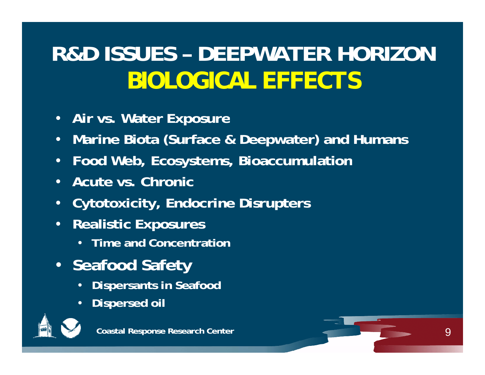# **R&D ISSUES – DEEPWATER HORIZON**  *BIOLOGICAL EFFECTS*

- **Air vs Water Exposure vs.**
- **Marine Biota (Surface & Deepwater) and Humans**
- •**Food Web, Ecosystems, Bioaccumulation**
- **Acute vs. Chronic**
- **Cytotoxicity, Endocrine Disrupters**
- **Realistic Exposures**
	- **Time and Concentration**
- **Seafd f oo Sa ety** 
	- •**Dispersants in Seafood**
	- •**Dispersed oil**



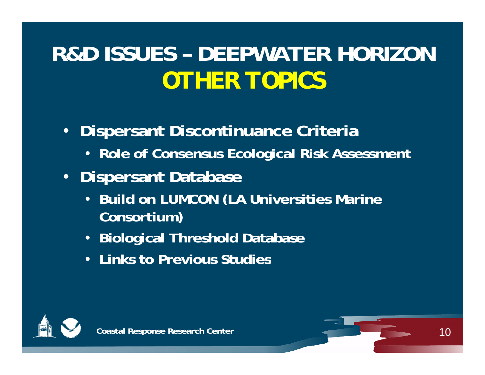# **R&D ISSUES – DEEPWATER HORIZON***OTHER TOPICS*

- • **Dispersant Discontinuance Criteria**
	- **Role of Consensus Ecological Risk Assessment**
- **Dispersant Database**
	- **Build on LUMCON (LA Universities Marine Consortium)**
	- **Biological Threshold Database**
	- **Links to Previous Studies**